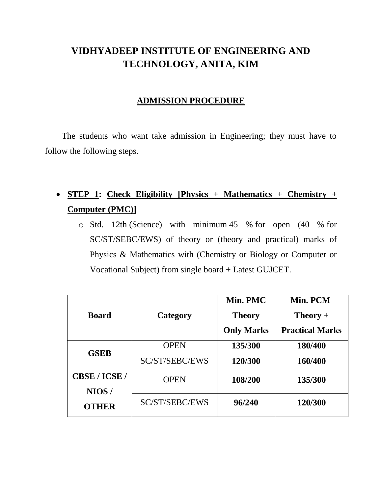# **VIDHYADEEP INSTITUTE OF ENGINEERING AND TECHNOLOGY, ANITA, KIM**

#### **ADMISSION PROCEDURE**

The students who want take admission in Engineering; they must have to follow the following steps.

# **STEP 1: Check Eligibility [Physics + Mathematics + Chemistry + Computer (PMC)]**

o Std. 12th (Science) with minimum 45 % for open (40 % for SC/ST/SEBC/EWS) of theory or (theory and practical) marks of Physics & Mathematics with (Chemistry or Biology or Computer or Vocational Subject) from single board + Latest GUJCET.

|               |                | Min. PMC          | Min. PCM               |
|---------------|----------------|-------------------|------------------------|
| <b>Board</b>  | Category       | <b>Theory</b>     | $Theory +$             |
|               |                | <b>Only Marks</b> | <b>Practical Marks</b> |
| <b>GSEB</b>   | <b>OPEN</b>    | 135/300           | 180/400                |
|               | SC/ST/SEBC/EWS | 120/300           | 160/400                |
| CBSE / ICSE / | <b>OPEN</b>    | 108/200           | 135/300                |
| NIOS/         |                |                   |                        |
| <b>OTHER</b>  | SC/ST/SEBC/EWS | 96/240            | 120/300                |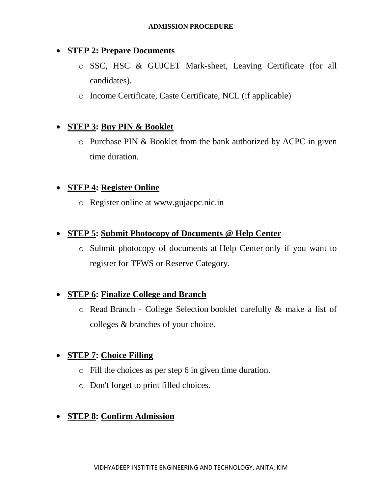#### **STEP 2: Prepare Documents**

- o SSC, HSC & GUJCET Mark-sheet, Leaving Certificate (for all candidates).
- o Income Certificate, Caste Certificate, NCL (if applicable)

# **STEP 3: Buy PIN & Booklet**

o Purchase PIN & Booklet from the bank authorized by ACPC in given time duration.

## **STEP 4: Register Online**

o Register online at [www.gujacpc.nic.in](http://www.gujacpc.nic.in/Candidate/Default.aspx)

#### **STEP 5: Submit Photocopy of Documents @ Help Center**

o Submit photocopy of documents at [Help Center](http://www.jacpcldce.ac.in/Adm19/BE/LIST_HC.pdf) only if you want to register for TFWS or Reserve Category.

## **STEP 6: Finalize College and Branch**

o Read Branch - [College Selection](https://drive.google.com/file/d/0B9vGLEJ0EFn7d19xUkVwRXNhOHM/view) booklet carefully & make a list of colleges & branches of your choice.

## **STEP 7: Choice Filling**

- o Fill the choices as per step 6 in given time duration.
- o Don't forget to print filled choices.

## **STEP 8: Confirm Admission**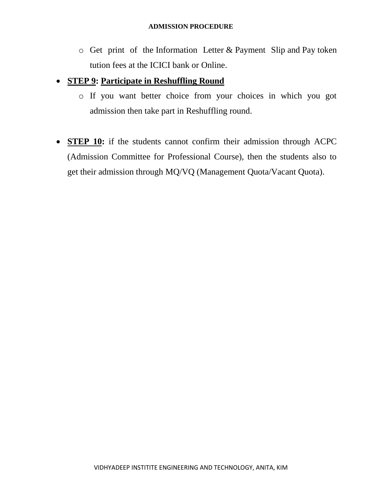o Get print of the Information Letter & Payment Slip and Pay token tution fees at the ICICI bank or Online.

#### **STEP 9: Participate in Reshuffling Round**

- o If you want better choice from your choices in which you got admission then take part in Reshuffling round.
- **STEP 10:** if the students cannot confirm their admission through ACPC (Admission Committee for Professional Course), then the students also to get their admission through MQ/VQ (Management Quota/Vacant Quota).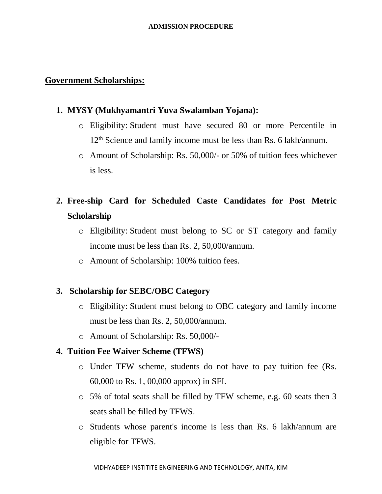#### **ADMISSION PROCEDURE**

#### **Government Scholarships:**

#### **1. [MYSY \(Mukhyamantri Yuva Swalamban Yojana\):](https://mysy.guj.nic.in/)**

- o Eligibility: Student must have secured 80 or more Percentile in 12<sup>th</sup> Science and family income must be less than Rs. 6 lakh/annum.
- o Amount of Scholarship: Rs. 50,000/- or 50% of tuition fees whichever is less.

# **2. Free-ship Card for Scheduled Caste Candidates for Post Metric Scholarship**

- o Eligibility: Student must belong to SC or ST category and family income must be less than Rs. 2, 50,000/annum.
- o Amount of Scholarship: 100% tuition fees.

#### **3. Scholarship for SEBC/OBC Category**

- o Eligibility: Student must belong to OBC category and family income must be less than Rs. 2, 50,000/annum.
- o Amount of Scholarship: Rs. 50,000/-

#### **4. Tuition Fee Waiver Scheme (TFWS)**

- o Under TFW scheme, students do not have to pay tuition fee (Rs. 60,000 to Rs. 1, 00,000 approx) in SFI.
- o 5% of total seats shall be filled by TFW scheme, e.g. 60 seats then 3 seats shall be filled by TFWS.
- o Students whose parent's income is less than Rs. 6 lakh/annum are eligible for TFWS.